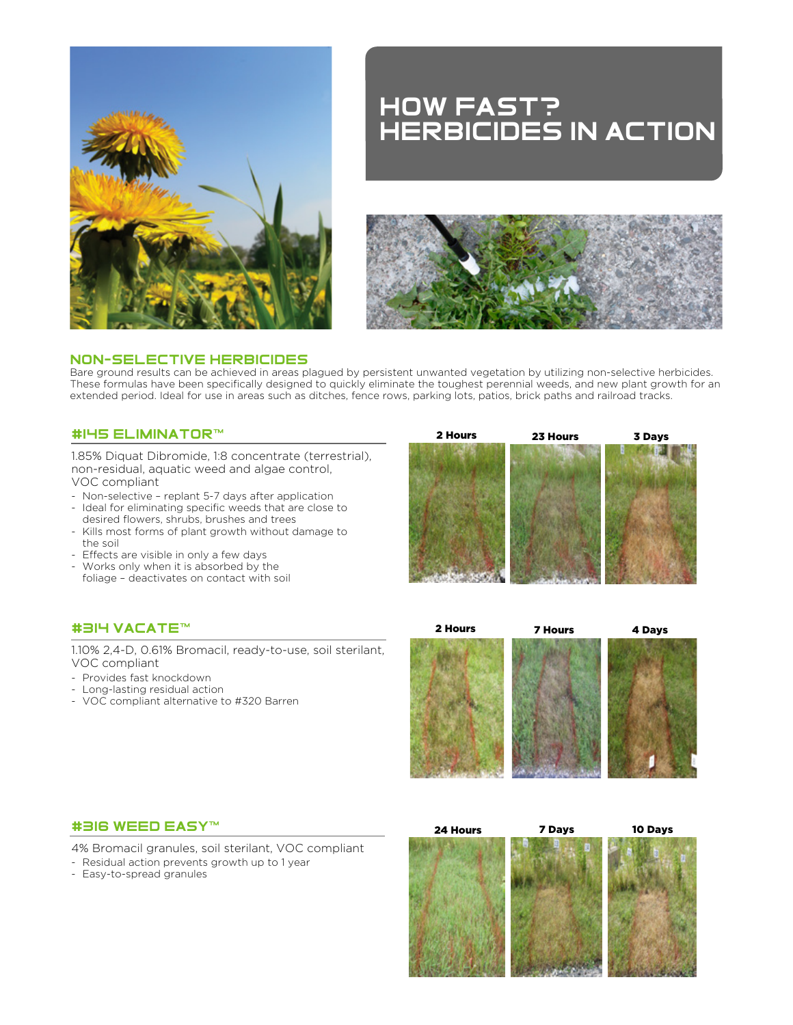

# HOW Fast? Herbicides in action



## NON-SeLeCTIVe HeRBICIDeS

Bare ground results can be achieved in areas plagued by persistent unwanted vegetation by utilizing non-selective herbicides. These formulas have been specifically designed to quickly eliminate the toughest perennial weeds, and new plant growth for an extended period. Ideal for use in areas such as ditches, fence rows, parking lots, patios, brick paths and railroad tracks.

## #145 eliminator™

1.85% Diquat Dibromide, 1:8 concentrate (terrestrial), non-residual, aquatic weed and algae control, VOC compliant

- Non-selective replant 5-7 days after application
- Ideal for eliminating specific weeds that are close to desired flowers, shrubs, brushes and trees
- Kills most forms of plant growth without damage to the soil
- Effects are visible in only a few days
- Works only when it is absorbed by the foliage – deactivates on contact with soil

# 2 Hours 23 Hours 3 Days

# #314 vacate™

1.10% 2,4-D, 0.61% Bromacil, ready-to-use, soil sterilant, VOC compliant

- Provides fast knockdown
- Long-lasting residual action
- VOC compliant alternative to #320 Barren



#### #316 weed easy™

4% Bromacil granules, soil sterilant, VOC compliant

- Residual action prevents growth up to 1 year
- Easy-to-spread granules